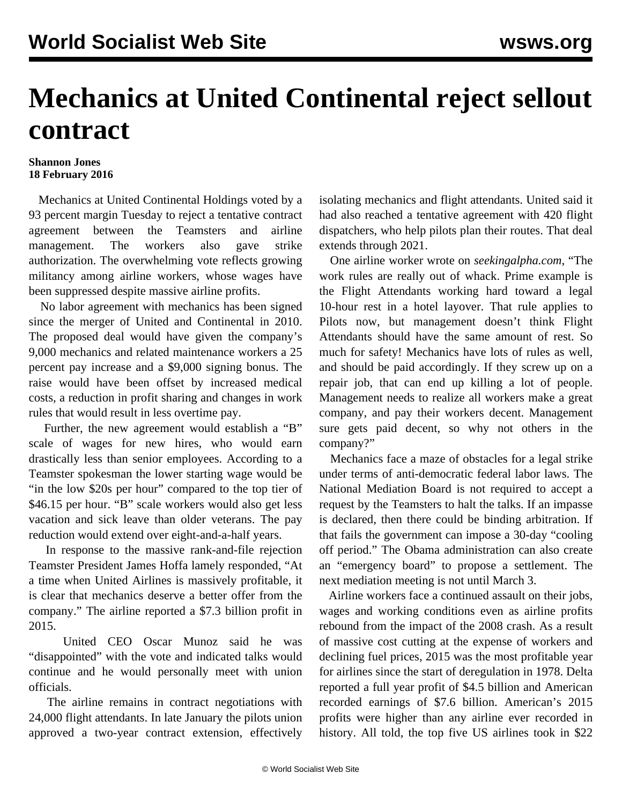## **Mechanics at United Continental reject sellout contract**

## **Shannon Jones 18 February 2016**

 Mechanics at United Continental Holdings voted by a 93 percent margin Tuesday to reject a tentative contract agreement between the Teamsters and airline management. The workers also gave strike authorization. The overwhelming vote reflects growing militancy among airline workers, whose wages have been suppressed despite massive airline profits.

 No labor agreement with mechanics has been signed since the merger of United and Continental in 2010. The proposed deal would have given the company's 9,000 mechanics and related maintenance workers a 25 percent pay increase and a \$9,000 signing bonus. The raise would have been offset by increased medical costs, a reduction in profit sharing and changes in work rules that would result in less overtime pay.

 Further, the new agreement would establish a "B" scale of wages for new hires, who would earn drastically less than senior employees. According to a Teamster spokesman the lower starting wage would be "in the low \$20s per hour" compared to the top tier of \$46.15 per hour. "B" scale workers would also get less vacation and sick leave than older veterans. The pay reduction would extend over eight-and-a-half years.

 In response to the massive rank-and-file rejection Teamster President James Hoffa lamely responded, "At a time when United Airlines is massively profitable, it is clear that mechanics deserve a better offer from the company." The airline reported a \$7.3 billion profit in 2015.

 United CEO Oscar Munoz said he was "disappointed" with the vote and indicated talks would continue and he would personally meet with union officials.

 The airline remains in contract negotiations with 24,000 flight attendants. In late January the pilots union approved a two-year contract extension, effectively isolating mechanics and flight attendants. United said it had also reached a tentative agreement with 420 flight dispatchers, who help pilots plan their routes. That deal extends through 2021.

 One airline worker wrote on *seekingalpha.com*, "The work rules are really out of whack. Prime example is the Flight Attendants working hard toward a legal 10-hour rest in a hotel layover. That rule applies to Pilots now, but management doesn't think Flight Attendants should have the same amount of rest. So much for safety! Mechanics have lots of rules as well, and should be paid accordingly. If they screw up on a repair job, that can end up killing a lot of people. Management needs to realize all workers make a great company, and pay their workers decent. Management sure gets paid decent, so why not others in the company?"

 Mechanics face a maze of obstacles for a legal strike under terms of anti-democratic federal labor laws. The National Mediation Board is not required to accept a request by the Teamsters to halt the talks. If an impasse is declared, then there could be binding arbitration. If that fails the government can impose a 30-day "cooling off period." The Obama administration can also create an "emergency board" to propose a settlement. The next mediation meeting is not until March 3.

 Airline workers face a continued assault on their jobs, wages and working conditions even as airline profits rebound from the impact of the 2008 crash. As a result of massive cost cutting at the expense of workers and declining fuel prices, 2015 was the most profitable year for airlines since the start of deregulation in 1978. Delta reported a full year profit of \$4.5 billion and American recorded earnings of \$7.6 billion. American's 2015 profits were higher than any airline ever recorded in history. All told, the top five US airlines took in \$22